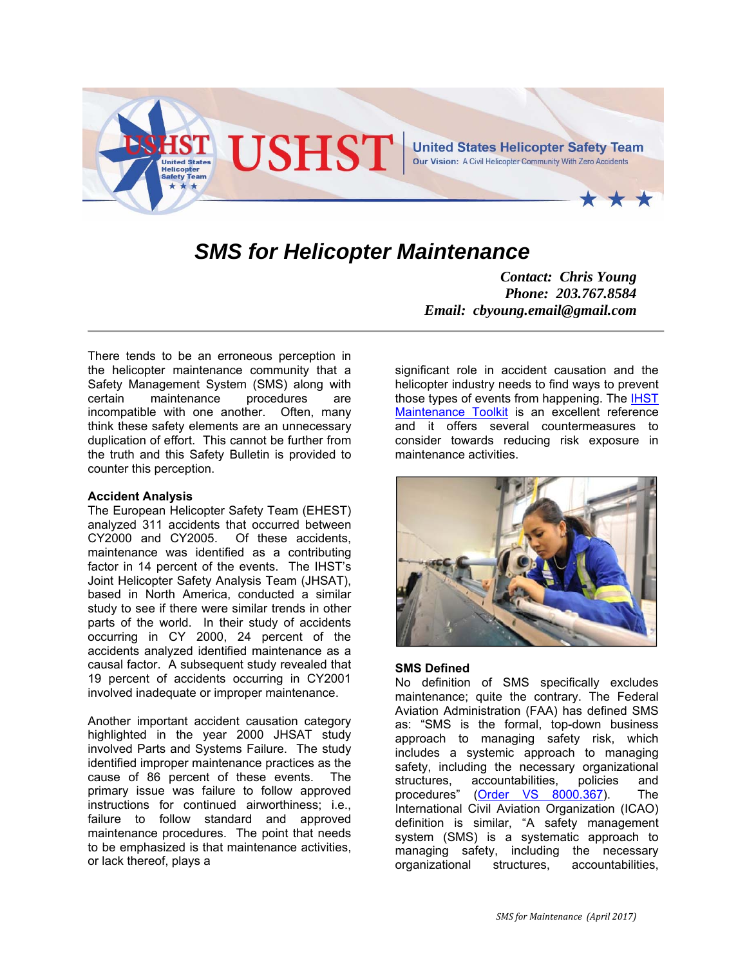

# *SMS for Helicopter Maintenance*

There tends to be an erroneous perception in the helicopter maintenance community that a Safety Management System (SMS) along with certain maintenance procedures are incompatible with one another. Often, many think these safety elements are an unnecessary duplication of effort. This cannot be further from the truth and this Safety Bulletin is provided to counter this perception.

### **Accident Analysis**

The European Helicopter Safety Team (EHEST) analyzed 311 accidents that occurred between CY2000 and CY2005. Of these accidents, maintenance was identified as a contributing factor in 14 percent of the events. The IHST's Joint Helicopter Safety Analysis Team (JHSAT), based in North America, conducted a similar study to see if there were similar trends in other parts of the world. In their study of accidents occurring in CY 2000, 24 percent of the accidents analyzed identified maintenance as a causal factor. A subsequent study revealed that 19 percent of accidents occurring in CY2001 involved inadequate or improper maintenance.

Another important accident causation category highlighted in the year 2000 JHSAT study involved Parts and Systems Failure. The study identified improper maintenance practices as the cause of 86 percent of these events. The primary issue was failure to follow approved instructions for continued airworthiness; i.e., failure to follow standard and approved maintenance procedures. The point that needs to be emphasized is that maintenance activities, or lack thereof, plays a

*Contact: Chris Young Phone: 203.767.8584 Email: cbyoung.email@gmail.com* 

significant role in accident causation and the helicopter industry needs to find ways to prevent those types of events from happening. The IHST Maintenance Toolkit is an excellent reference and it offers several countermeasures to consider towards reducing risk exposure in maintenance activities.



# **SMS Defined**

No definition of SMS specifically excludes maintenance; quite the contrary. The Federal Aviation Administration (FAA) has defined SMS as: "SMS is the formal, top-down business approach to managing safety risk, which includes a systemic approach to managing safety, including the necessary organizational<br>structures, accountabilities, policies and structures, accountabilities, policies and procedures" (Order VS 8000.367). The International Civil Aviation Organization (ICAO) definition is similar, "A safety management system (SMS) is a systematic approach to managing safety, including the necessary organizational structures, accountabilities,